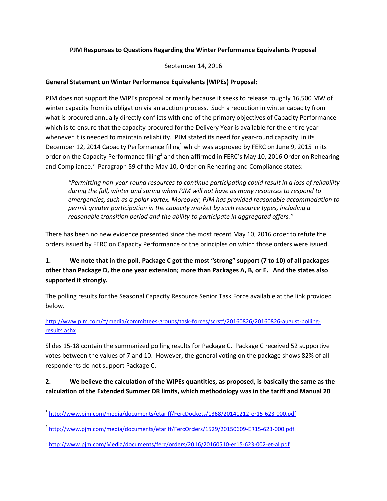#### **PJM Responses to Questions Regarding the Winter Performance Equivalents Proposal**

September 14, 2016

#### **General Statement on Winter Performance Equivalents (WIPEs) Proposal:**

PJM does not support the WIPEs proposal primarily because it seeks to release roughly 16,500 MW of winter capacity from its obligation via an auction process. Such a reduction in winter capacity from what is procured annually directly conflicts with one of the primary objectives of Capacity Performance which is to ensure that the capacity procured for the Delivery Year is available for the entire year whenever it is needed to maintain reliability. PJM stated its need for year-round capacity in its December 12, 2014 Capacity Performance filing<sup>1</sup> which was approved by FERC on June 9, 2015 in its order on the Capacity Performance filing<sup>2</sup> and then affirmed in FERC's May 10, 2016 Order on Rehearing and Compliance.<sup>3</sup> Paragraph 59 of the May 10, Order on Rehearing and Compliance states:

*"Permitting non-year-round resources to continue participating could result in a loss of reliability during the fall, winter and spring when PJM will not have as many resources to respond to emergencies, such as a polar vortex. Moreover, PJM has provided reasonable accommodation to permit greater participation in the capacity market by such resource types, including a reasonable transition period and the ability to participate in aggregated offers."*

There has been no new evidence presented since the most recent May 10, 2016 order to refute the orders issued by FERC on Capacity Performance or the principles on which those orders were issued.

# **1. We note that in the poll, Package C got the most "strong" support (7 to 10) of all packages other than Package D, the one year extension; more than Packages A, B, or E. And the states also supported it strongly.**

The polling results for the Seasonal Capacity Resource Senior Task Force available at the link provided below.

[http://www.pjm.com/~/media/committees-groups/task-forces/scrstf/20160826/20160826-august-polling](http://www.pjm.com/~/media/committees-groups/task-forces/scrstf/20160826/20160826-august-polling-results.ashx)[results.ashx](http://www.pjm.com/~/media/committees-groups/task-forces/scrstf/20160826/20160826-august-polling-results.ashx)

Slides 15-18 contain the summarized polling results for Package C. Package C received 52 supportive votes between the values of 7 and 10. However, the general voting on the package shows 82% of all respondents do not support Package C.

**2. We believe the calculation of the WIPEs quantities, as proposed, is basically the same as the calculation of the Extended Summer DR limits, which methodology was in the tariff and Manual 20** 

 $\overline{\phantom{a}}$ <sup>1</sup> <http://www.pjm.com/media/documents/etariff/FercDockets/1368/20141212-er15-623-000.pdf>

<sup>&</sup>lt;sup>2</sup> <http://www.pjm.com/media/documents/etariff/FercOrders/1529/20150609-ER15-623-000.pdf>

<sup>&</sup>lt;sup>3</sup> <http://www.pjm.com/Media/documents/ferc/orders/2016/20160510-er15-623-002-et-al.pdf>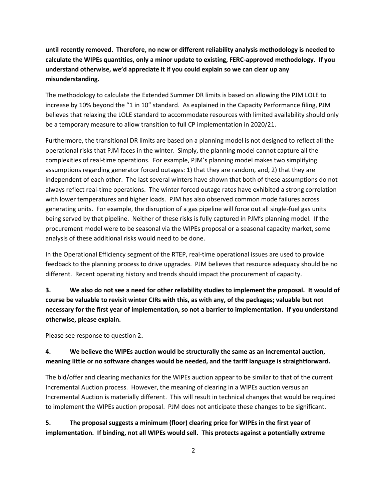**until recently removed. Therefore, no new or different reliability analysis methodology is needed to calculate the WIPEs quantities, only a minor update to existing, FERC-approved methodology. If you understand otherwise, we'd appreciate it if you could explain so we can clear up any misunderstanding.**

The methodology to calculate the Extended Summer DR limits is based on allowing the PJM LOLE to increase by 10% beyond the "1 in 10" standard. As explained in the Capacity Performance filing, PJM believes that relaxing the LOLE standard to accommodate resources with limited availability should only be a temporary measure to allow transition to full CP implementation in 2020/21.

Furthermore, the transitional DR limits are based on a planning model is not designed to reflect all the operational risks that PJM faces in the winter. Simply, the planning model cannot capture all the complexities of real-time operations. For example, PJM's planning model makes two simplifying assumptions regarding generator forced outages: 1) that they are random, and, 2) that they are independent of each other. The last several winters have shown that both of these assumptions do not always reflect real-time operations. The winter forced outage rates have exhibited a strong correlation with lower temperatures and higher loads. PJM has also observed common mode failures across generating units. For example, the disruption of a gas pipeline will force out all single-fuel gas units being served by that pipeline. Neither of these risks is fully captured in PJM's planning model. If the procurement model were to be seasonal via the WIPEs proposal or a seasonal capacity market, some analysis of these additional risks would need to be done.

In the Operational Efficiency segment of the RTEP, real-time operational issues are used to provide feedback to the planning process to drive upgrades. PJM believes that resource adequacy should be no different. Recent operating history and trends should impact the procurement of capacity.

**3. We also do not see a need for other reliability studies to implement the proposal. It would of course be valuable to revisit winter CIRs with this, as with any, of the packages; valuable but not necessary for the first year of implementation, so not a barrier to implementation. If you understand otherwise, please explain.**

Please see response to question 2**.**

### **4. We believe the WIPEs auction would be structurally the same as an Incremental auction, meaning little or no software changes would be needed, and the tariff language is straightforward.**

The bid/offer and clearing mechanics for the WIPEs auction appear to be similar to that of the current Incremental Auction process. However, the meaning of clearing in a WIPEs auction versus an Incremental Auction is materially different. This will result in technical changes that would be required to implement the WIPEs auction proposal. PJM does not anticipate these changes to be significant.

**5. The proposal suggests a minimum (floor) clearing price for WIPEs in the first year of implementation. If binding, not all WIPEs would sell. This protects against a potentially extreme**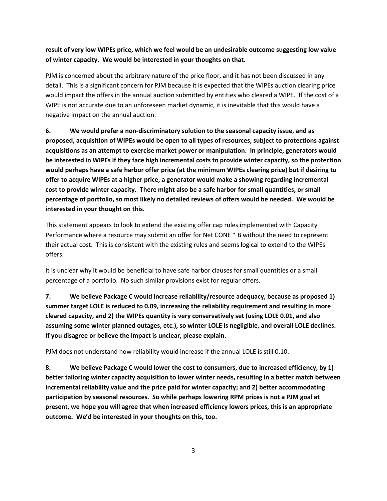### **result of very low WIPEs price, which we feel would be an undesirable outcome suggesting low value of winter capacity. We would be interested in your thoughts on that.**

PJM is concerned about the arbitrary nature of the price floor, and it has not been discussed in any detail. This is a significant concern for PJM because it is expected that the WIPEs auction clearing price would impact the offers in the annual auction submitted by entities who cleared a WIPE. If the cost of a WIPE is not accurate due to an unforeseen market dynamic, it is inevitable that this would have a negative impact on the annual auction.

**6. We would prefer a non-discriminatory solution to the seasonal capacity issue, and as proposed, acquisition of WIPEs would be open to all types of resources, subject to protections against acquisitions as an attempt to exercise market power or manipulation. In principle, generators would be interested in WIPEs if they face high incremental costs to provide winter capacity, so the protection would perhaps have a safe harbor offer price (at the minimum WIPEs clearing price) but if desiring to offer to acquire WIPEs at a higher price, a generator would make a showing regarding incremental cost to provide winter capacity. There might also be a safe harbor for small quantities, or small percentage of portfolio, so most likely no detailed reviews of offers would be needed. We would be interested in your thought on this.**

This statement appears to look to extend the existing offer cap rules implemented with Capacity Performance where a resource may submit an offer for Net CONE \* B without the need to represent their actual cost. This is consistent with the existing rules and seems logical to extend to the WIPEs offers.

It is unclear why it would be beneficial to have safe harbor clauses for small quantities or a small percentage of a portfolio. No such similar provisions exist for regular offers.

**7. We believe Package C would increase reliability/resource adequacy, because as proposed 1) summer target LOLE is reduced to 0.09, increasing the reliability requirement and resulting in more cleared capacity, and 2) the WIPEs quantity is very conservatively set (using LOLE 0.01, and also assuming some winter planned outages, etc.), so winter LOLE is negligible, and overall LOLE declines. If you disagree or believe the impact is unclear, please explain.**

PJM does not understand how reliability would increase if the annual LOLE is still 0.10.

**8. We believe Package C would lower the cost to consumers, due to increased efficiency, by 1) better tailoring winter capacity acquisition to lower winter needs, resulting in a better match between incremental reliability value and the price paid for winter capacity; and 2) better accommodating participation by seasonal resources. So while perhaps lowering RPM prices is not a PJM goal at present, we hope you will agree that when increased efficiency lowers prices, this is an appropriate outcome. We'd be interested in your thoughts on this, too.**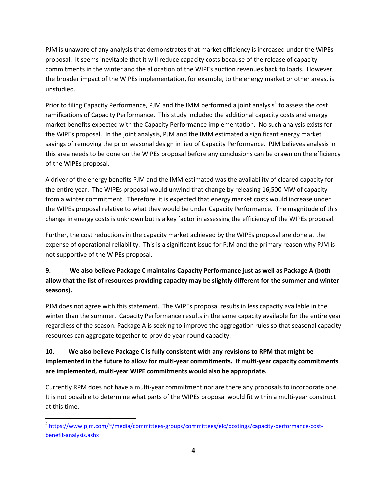PJM is unaware of any analysis that demonstrates that market efficiency is increased under the WIPEs proposal. It seems inevitable that it will reduce capacity costs because of the release of capacity commitments in the winter and the allocation of the WIPEs auction revenues back to loads. However, the broader impact of the WIPEs implementation, for example, to the energy market or other areas, is unstudied.

Prior to filing Capacity Performance, PJM and the IMM performed a joint analysis<sup>4</sup> to assess the cost ramifications of Capacity Performance. This study included the additional capacity costs and energy market benefits expected with the Capacity Performance implementation. No such analysis exists for the WIPEs proposal. In the joint analysis, PJM and the IMM estimated a significant energy market savings of removing the prior seasonal design in lieu of Capacity Performance. PJM believes analysis in this area needs to be done on the WIPEs proposal before any conclusions can be drawn on the efficiency of the WIPEs proposal.

A driver of the energy benefits PJM and the IMM estimated was the availability of cleared capacity for the entire year. The WIPEs proposal would unwind that change by releasing 16,500 MW of capacity from a winter commitment. Therefore, it is expected that energy market costs would increase under the WIPEs proposal relative to what they would be under Capacity Performance. The magnitude of this change in energy costs is unknown but is a key factor in assessing the efficiency of the WIPEs proposal.

Further, the cost reductions in the capacity market achieved by the WIPEs proposal are done at the expense of operational reliability. This is a significant issue for PJM and the primary reason why PJM is not supportive of the WIPEs proposal.

# **9. We also believe Package C maintains Capacity Performance just as well as Package A (both allow that the list of resources providing capacity may be slightly different for the summer and winter seasons).**

PJM does not agree with this statement. The WIPEs proposal results in less capacity available in the winter than the summer. Capacity Performance results in the same capacity available for the entire year regardless of the season. Package A is seeking to improve the aggregation rules so that seasonal capacity resources can aggregate together to provide year-round capacity.

## **10. We also believe Package C is fully consistent with any revisions to RPM that might be implemented in the future to allow for multi-year commitments. If multi-year capacity commitments are implemented, multi-year WIPE commitments would also be appropriate.**

Currently RPM does not have a multi-year commitment nor are there any proposals to incorporate one. It is not possible to determine what parts of the WIPEs proposal would fit within a multi-year construct at this time.

 $\overline{a}$ <sup>4</sup> [https://www.pjm.com/~/media/committees-groups/committees/elc/postings/capacity-performance-cost](https://www.pjm.com/~/media/committees-groups/committees/elc/postings/capacity-performance-cost-benefit-analysis.ashx)[benefit-analysis.ashx](https://www.pjm.com/~/media/committees-groups/committees/elc/postings/capacity-performance-cost-benefit-analysis.ashx)